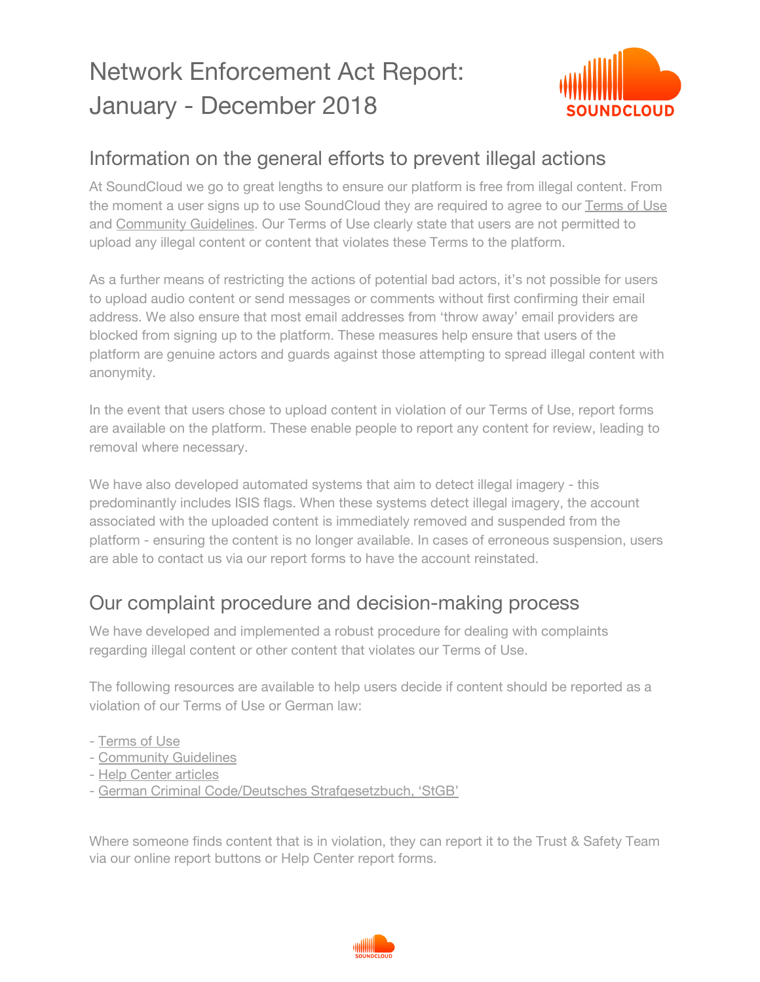# Network Enforcement Act Report: January - December 2018



### Information on the general efforts to prevent illegal actions

At SoundCloud we go to great lengths to ensure our platform is free from illegal content. From the moment a user signs up to use SoundCloud they are required to agree to our [Terms](https://soundcloud.com/terms-of-use) of Use and [Community](https://soundcloud.com/community-guidelines) Guidelines. Our Terms of Use clearly state that users are not permitted to upload any illegal content or content that violates these Terms to the platform.

As a further means of restricting the actions of potential bad actors, it's not possible for users to upload audio content or send messages or comments without first confirming their email address. We also ensure that most email addresses from 'throw away' email providers are blocked from signing up to the platform. These measures help ensure that users of the platform are genuine actors and guards against those attempting to spread illegal content with anonymity.

In the event that users chose to upload content in violation of our Terms of Use, report forms are available on the platform. These enable people to report any content for review, leading to removal where necessary.

We have also developed automated systems that aim to detect illegal imagery - this predominantly includes ISIS flags. When these systems detect illegal imagery, the account associated with the uploaded content is immediately removed and suspended from the platform - ensuring the content is no longer available. In cases of erroneous suspension, users are able to contact us via our report forms to have the account reinstated.

#### Our complaint procedure and decision-making process

We have developed and implemented a robust procedure for dealing with complaints regarding illegal content or other content that violates our Terms of Use.

The following resources are available to help users decide if content should be reported as a violation of our Terms of Use or German law:

- [Terms](https://soundcloud.com/terms-of-use) of Use
- [Community](https://soundcloud.com/community-guidelines) Guidelines
- Help Center [articles](https://help.soundcloud.com/hc/en-us/articles/115003449867-Content-policies)
- German Criminal Code/Deutsches [Strafgesetzbuch,](https://www.gesetze-im-internet.de/englisch_stgb/index.html) 'StGB'

Where someone finds content that is in violation, they can report it to the Trust & Safety Team via our online report buttons or Help Center report forms.

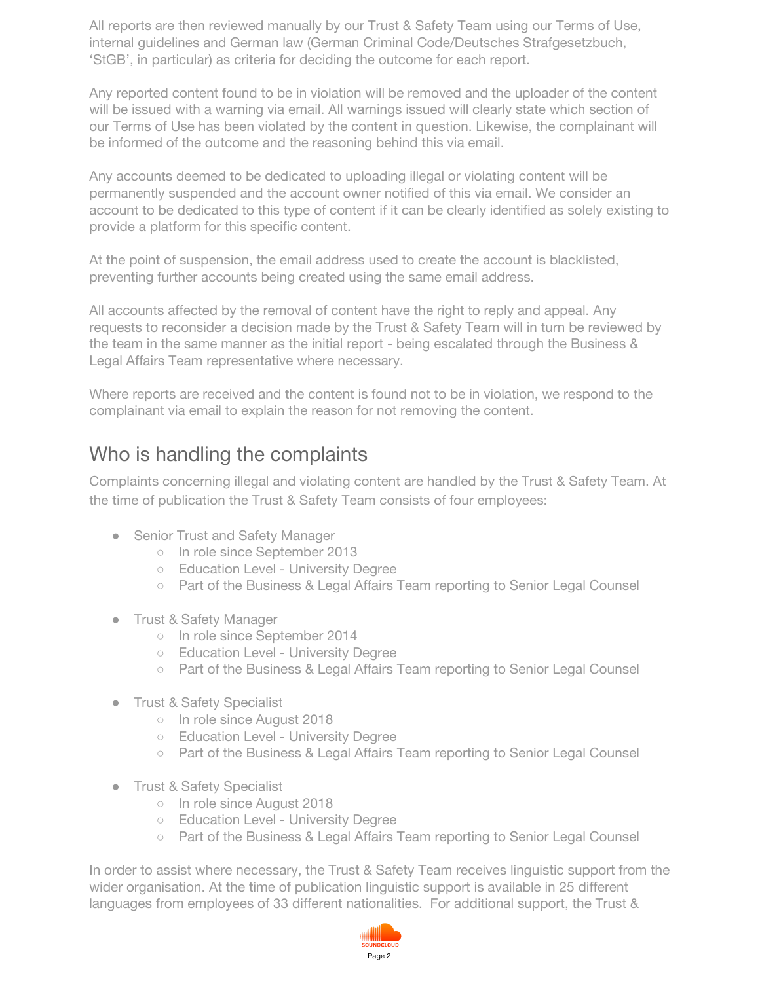All reports are then reviewed manually by our Trust & Safety Team using our Terms of Use, internal guidelines and German law (German Criminal Code/Deutsches Strafgesetzbuch, 'StGB', in particular) as criteria for deciding the outcome for each report.

Any reported content found to be in violation will be removed and the uploader of the content will be issued with a warning via email. All warnings issued will clearly state which section of our Terms of Use has been violated by the content in question. Likewise, the complainant will be informed of the outcome and the reasoning behind this via email.

Any accounts deemed to be dedicated to uploading illegal or violating content will be permanently suspended and the account owner notified of this via email. We consider an account to be dedicated to this type of content if it can be clearly identified as solely existing to provide a platform for this specific content.

At the point of suspension, the email address used to create the account is blacklisted, preventing further accounts being created using the same email address.

All accounts affected by the removal of content have the right to reply and appeal. Any requests to reconsider a decision made by the Trust & Safety Team will in turn be reviewed by the team in the same manner as the initial report - being escalated through the Business & Legal Affairs Team representative where necessary.

Where reports are received and the content is found not to be in violation, we respond to the complainant via email to explain the reason for not removing the content.

#### Who is handling the complaints

Complaints concerning illegal and violating content are handled by the Trust & Safety Team. At the time of publication the Trust & Safety Team consists of four employees:

- Senior Trust and Safety Manager
	- o In role since September 2013
	- Education Level University Degree
	- Part of the Business & Legal Affairs Team reporting to Senior Legal Counsel
- Trust & Safety Manager
	- In role since September 2014
	- Education Level University Degree
	- Part of the Business & Legal Affairs Team reporting to Senior Legal Counsel
- Trust & Safety Specialist
	- In role since August 2018
	- Education Level University Degree
	- Part of the Business & Legal Affairs Team reporting to Senior Legal Counsel
- Trust & Safety Specialist
	- In role since August 2018
	- Education Level University Degree
	- Part of the Business & Legal Affairs Team reporting to Senior Legal Counsel

In order to assist where necessary, the Trust & Safety Team receives linguistic support from the wider organisation. At the time of publication linguistic support is available in 25 different languages from employees of 33 different nationalities. For additional support, the Trust &

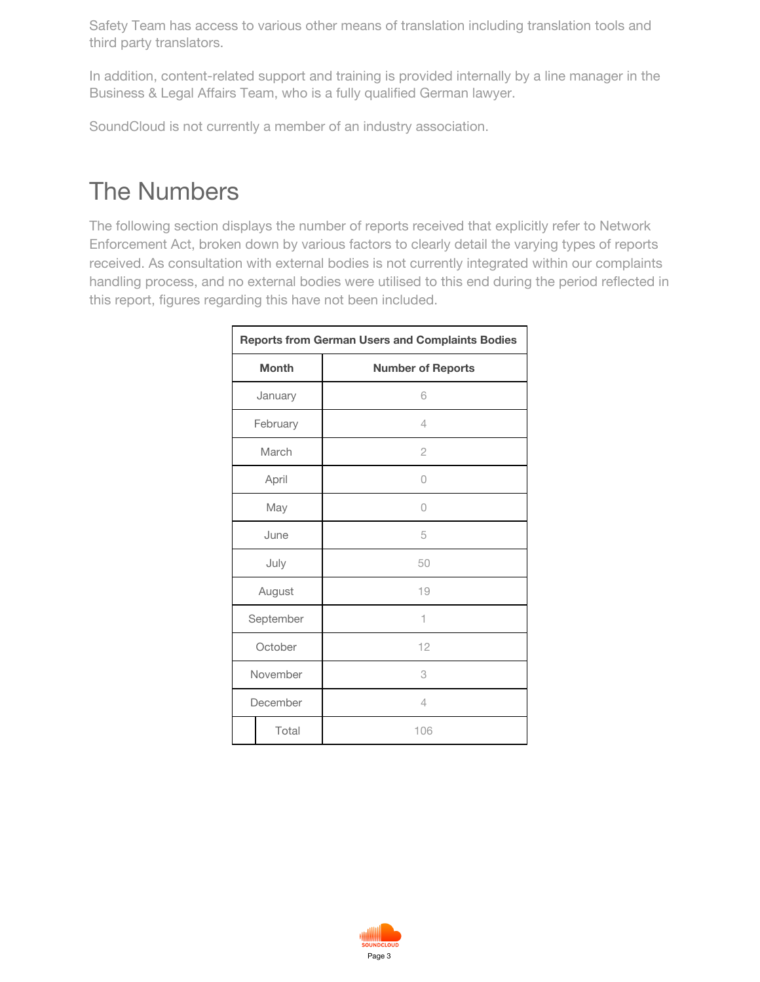Safety Team has access to various other means of translation including translation tools and third party translators.

In addition, content-related support and training is provided internally by a line manager in the Business & Legal Affairs Team, who is a fully qualified German lawyer.

SoundCloud is not currently a member of an industry association.

## The Numbers

The following section displays the number of reports received that explicitly refer to Network Enforcement Act, broken down by various factors to clearly detail the varying types of reports received. As consultation with external bodies is not currently integrated within our complaints handling process, and no external bodies were utilised to this end during the period reflected in this report, figures regarding this have not been included.

|              | <b>Reports from German Users and Complaints Bodies</b> |
|--------------|--------------------------------------------------------|
| <b>Month</b> | <b>Number of Reports</b>                               |
| January      | 6                                                      |
| February     | $\overline{4}$                                         |
| March        | $\overline{2}$                                         |
| April        | 0                                                      |
| May          | 0                                                      |
| June         | 5                                                      |
| July         | 50                                                     |
| August       | 19                                                     |
| September    | 1                                                      |
| October      | 12                                                     |
| November     | 3                                                      |
| December     | $\overline{4}$                                         |
| Total        | 106                                                    |

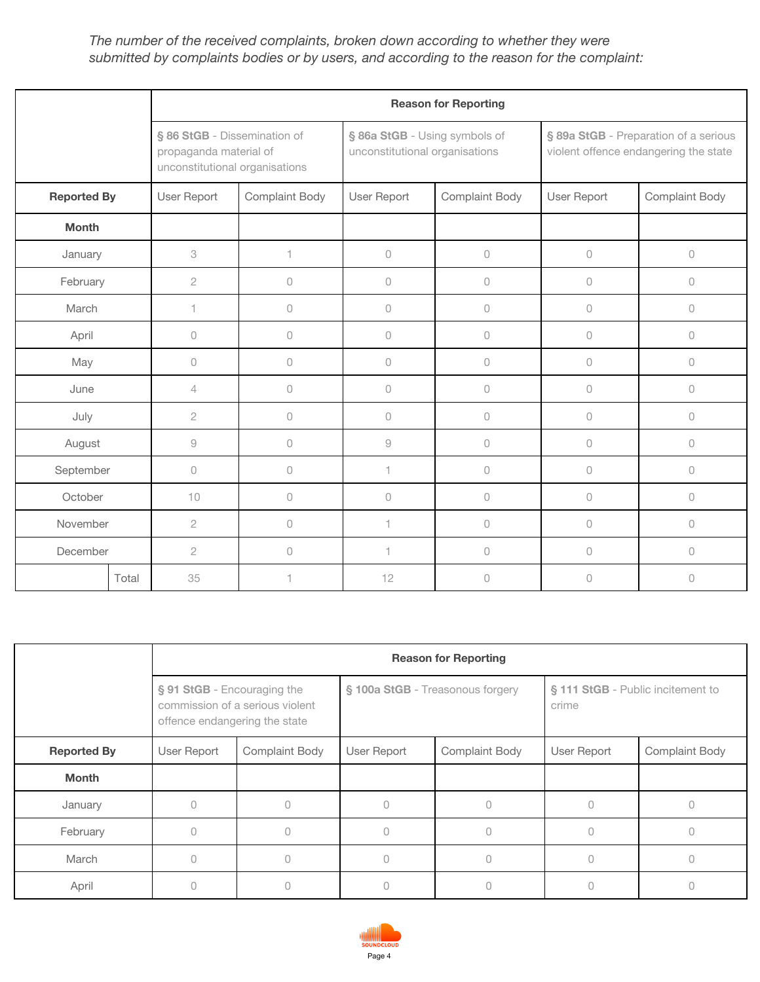#### *The number of the received complaints, broken down according to whether they were submitted by complaints bodies or by users, and according to the reason for the complaint:*

|                    |                                                           |                                |                                                                 | <b>Reason for Reporting</b> |                                                                                |                       |  |
|--------------------|-----------------------------------------------------------|--------------------------------|-----------------------------------------------------------------|-----------------------------|--------------------------------------------------------------------------------|-----------------------|--|
|                    | § 86 StGB - Dissemination of<br>propaganda material of    | unconstitutional organisations | § 86a StGB - Using symbols of<br>unconstitutional organisations |                             | § 89a StGB - Preparation of a serious<br>violent offence endangering the state |                       |  |
| <b>Reported By</b> | User Report                                               | <b>Complaint Body</b>          | User Report                                                     | <b>Complaint Body</b>       | User Report                                                                    | <b>Complaint Body</b> |  |
| <b>Month</b>       |                                                           |                                |                                                                 |                             |                                                                                |                       |  |
| January            | 3                                                         | 1                              | $\bigcirc$                                                      | $\bigcirc$                  | $\mathsf O$                                                                    | $\mathcal O$          |  |
| February           | $\overline{c}$                                            | 0                              | $\circ$                                                         | $\bigcirc$                  | $\circ$                                                                        | $\circ$               |  |
| March              | 1                                                         | 0                              | $\circ$                                                         | $\mathcal O$                | $\circ$                                                                        | $\cup$                |  |
| April              | $\mathcal O$                                              | 0                              | 0                                                               | $\mathcal O$                | $\cup$                                                                         | $\cup$                |  |
| May                | $\circ$                                                   | 0                              | 0                                                               | $\mathbb O$                 | $\circ$                                                                        | $\circ$               |  |
| June               | 4                                                         | 0                              | 0                                                               | $\mathbb O$                 | $\circ$                                                                        | $\circ$               |  |
| July               | $\overline{c}$                                            | 0                              | $\circ$                                                         | $\bigcirc$                  | $\cup$                                                                         | $\cup$                |  |
| August             | $\mathcal{G}% _{M_{1},M_{2}}^{\alpha,\beta}(\mathcal{G})$ | 0                              | $\mathcal G$                                                    | $\mathcal O$                | $\cup$                                                                         | $\cup$                |  |
| September          | $\circ$                                                   | 0                              | 1.                                                              | $\mathbb O$                 | $\circ$                                                                        | $\cup$                |  |
| October            | 10                                                        | 0                              | 0                                                               | $\mathbb O$                 | $\cup$                                                                         | $\cup$                |  |
| November           | $\mathbf{2}$                                              | 0                              | 1.                                                              | $\mathbb O$                 | $\cup$                                                                         | $\cup$                |  |
| December           | $\overline{2}$                                            | 0                              | 1.                                                              | $\mathcal O$                | $\cup$                                                                         | $\cup$                |  |
|                    | 35<br>Total                                               | 1                              | 12                                                              | $\circ$                     | $\overline{0}$                                                                 | $\Omega$              |  |

|                    | <b>Reason for Reporting</b>                                  |                                 |                                  |                       |                                            |                       |  |  |  |  |
|--------------------|--------------------------------------------------------------|---------------------------------|----------------------------------|-----------------------|--------------------------------------------|-----------------------|--|--|--|--|
|                    | § 91 StGB - Encouraging the<br>offence endangering the state | commission of a serious violent | § 100a StGB - Treasonous forgery |                       | § 111 StGB - Public incitement to<br>crime |                       |  |  |  |  |
| <b>Reported By</b> | User Report                                                  | Complaint Body                  | User Report                      | <b>Complaint Body</b> | User Report                                | <b>Complaint Body</b> |  |  |  |  |
| <b>Month</b>       |                                                              |                                 |                                  |                       |                                            |                       |  |  |  |  |
| January            | $\Omega$                                                     |                                 | 0                                | 0                     |                                            |                       |  |  |  |  |
| February           | $\cup$                                                       |                                 | Ω                                | $\bigcap$             |                                            |                       |  |  |  |  |
| March              | $\bigcap$                                                    |                                 |                                  | 0                     |                                            |                       |  |  |  |  |
| April              | U                                                            |                                 |                                  |                       |                                            |                       |  |  |  |  |

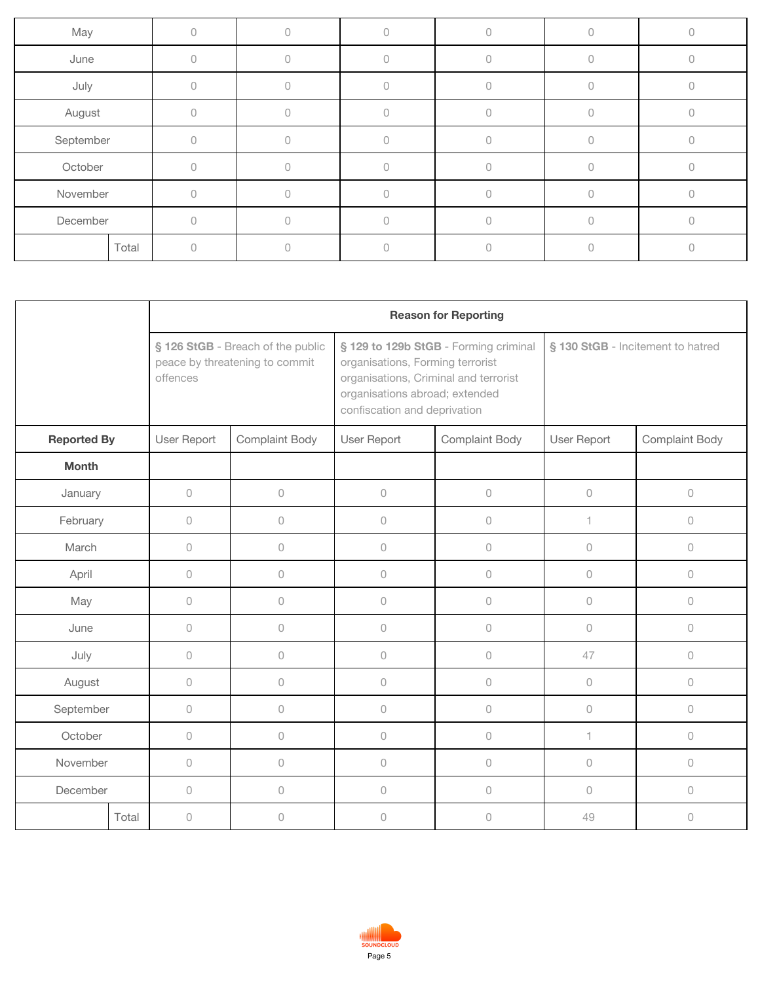| May       |       |  |  |  |
|-----------|-------|--|--|--|
| June      |       |  |  |  |
| July      |       |  |  |  |
| August    |       |  |  |  |
| September |       |  |  |  |
| October   |       |  |  |  |
| November  |       |  |  |  |
| December  |       |  |  |  |
|           | Total |  |  |  |

|                    |       | <b>Reason for Reporting</b> |                                                                     |                                                                                                                                             |                                       |                                   |                     |  |  |  |
|--------------------|-------|-----------------------------|---------------------------------------------------------------------|---------------------------------------------------------------------------------------------------------------------------------------------|---------------------------------------|-----------------------------------|---------------------|--|--|--|
|                    |       | offences                    | § 126 StGB - Breach of the public<br>peace by threatening to commit | organisations, Forming terrorist<br>organisations, Criminal and terrorist<br>organisations abroad; extended<br>confiscation and deprivation | § 129 to 129b StGB - Forming criminal | § 130 StGB - Incitement to hatred |                     |  |  |  |
| <b>Reported By</b> |       | User Report                 | Complaint Body                                                      | User Report                                                                                                                                 | Complaint Body                        | User Report                       | Complaint Body      |  |  |  |
| <b>Month</b>       |       |                             |                                                                     |                                                                                                                                             |                                       |                                   |                     |  |  |  |
| January            |       | $\cup$                      | $\bigcirc$                                                          | $\circ$                                                                                                                                     | $\bigcirc$                            | $\mathbb O$                       | $\circlearrowright$ |  |  |  |
| February           |       | $\Omega$                    | $\circlearrowright$                                                 | $\circ$                                                                                                                                     | $\circlearrowright$                   | 1                                 | $\bigcirc$          |  |  |  |
| March              |       | $\cup$                      | $\circlearrowright$                                                 | $\circ$                                                                                                                                     | $\circlearrowright$                   | $\circ$                           | $\circlearrowright$ |  |  |  |
| April              |       | $\cup$                      | $\circlearrowright$                                                 | $\cup$                                                                                                                                      | $\circlearrowright$                   | $\Omega$                          | $\bigcirc$          |  |  |  |
| May                |       | $\cup$                      | $\circlearrowright$                                                 | $\cup$                                                                                                                                      | $\circ$                               | $\cup$                            | $\cup$              |  |  |  |
| June               |       | $\cup$                      | $\circlearrowright$                                                 | $\circ$                                                                                                                                     | $\circlearrowright$                   | $\circ$                           | $\circ$             |  |  |  |
| July               |       | $\circ$                     | $\circlearrowright$                                                 | $\circ$                                                                                                                                     | $\circlearrowright$                   | 47                                | $\circlearrowright$ |  |  |  |
| August             |       | $\circ$                     | $\circlearrowright$                                                 | $\mathsf O$                                                                                                                                 | $\circlearrowright$                   | $\circ$                           | $\circlearrowright$ |  |  |  |
| September          |       | $\cup$                      | $\circlearrowright$                                                 | $\mathsf O$                                                                                                                                 | $\circlearrowright$                   | $\circ$                           | $\circlearrowright$ |  |  |  |
| October            |       | $\cup$                      | $\circlearrowright$                                                 | $\circ$                                                                                                                                     | $\circ$                               | 1                                 | $\circlearrowright$ |  |  |  |
| November           |       | $\cup$                      | $\circlearrowright$                                                 | $\circ$                                                                                                                                     | $\bigcirc$                            | $\circ$                           | $\circlearrowright$ |  |  |  |
| December           |       | $\cup$                      | $\circlearrowright$                                                 | $\cup$                                                                                                                                      | $\bigcirc$                            | $\Omega$                          | $\circ$             |  |  |  |
|                    | Total | $\mathsf{O}\xspace$         | $\bigcirc$                                                          | $\mathsf O$                                                                                                                                 | $\bigcirc$                            | 49                                | $\cup$              |  |  |  |

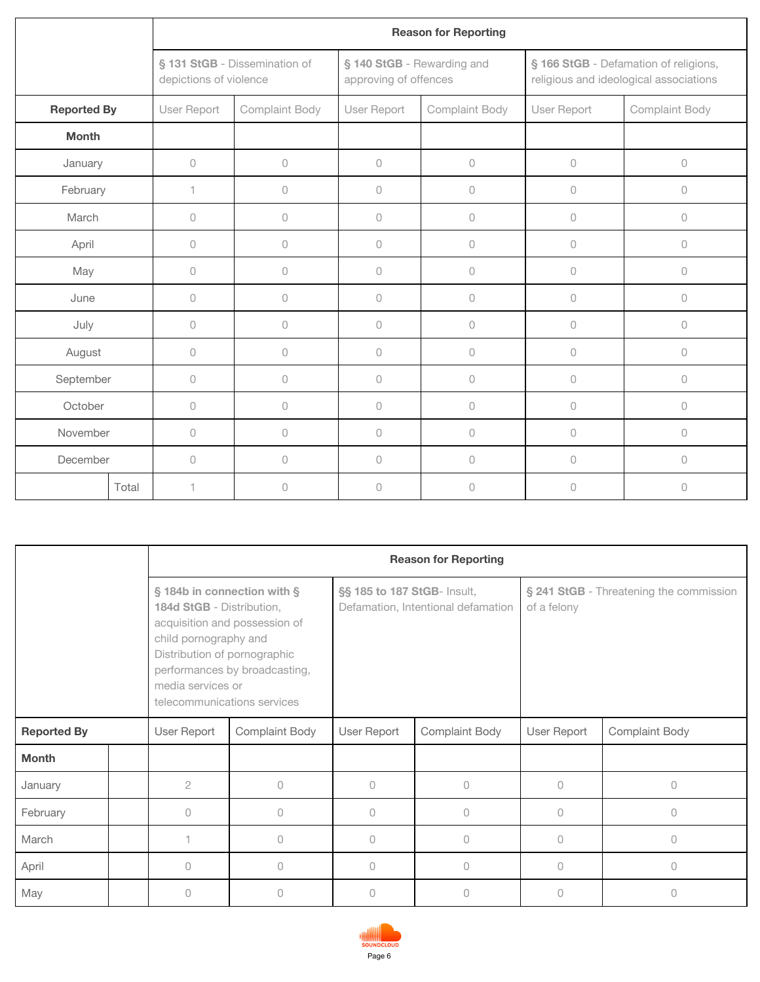|                    |                     |                        |                               |                                                     | <b>Reason for Reporting</b> |                                                                                 |                |  |
|--------------------|---------------------|------------------------|-------------------------------|-----------------------------------------------------|-----------------------------|---------------------------------------------------------------------------------|----------------|--|
|                    |                     | depictions of violence | § 131 StGB - Dissemination of | § 140 StGB - Rewarding and<br>approving of offences |                             | § 166 StGB - Defamation of religions,<br>religious and ideological associations |                |  |
| <b>Reported By</b> |                     | User Report            | Complaint Body                | User Report                                         | Complaint Body              |                                                                                 | Complaint Body |  |
| <b>Month</b>       |                     |                        |                               |                                                     |                             |                                                                                 |                |  |
| January            | $\circlearrowright$ |                        | $\mathsf{O}\xspace$           | $\mathcal O$                                        | $\mathsf{O}\xspace$         | $\circ$                                                                         | $\circ$        |  |
| February           |                     | 1                      | $\cup$                        | $\Omega$                                            | $\cup$                      | $\bigcap$                                                                       | $\circ$        |  |
| March              | $\circ$             |                        | $\cup$                        | $\cup$                                              | $\circ$                     | $\bigcap$                                                                       | $\circ$        |  |
| April              |                     | $\circ$                | 0                             | $\circ$                                             | $\circ$                     | $\Omega$                                                                        | $\circ$        |  |
| May                |                     | $\circ$                | 0                             | $\Omega$                                            | $\theta$                    | $\bigcap$                                                                       | 0              |  |
| June               |                     | $\bigcirc$             | $\circ$                       | $\circ$                                             | 0                           | $\circ$                                                                         | $\mathbb O$    |  |
| July               |                     | $\circlearrowright$    | $\cup$                        | $\cup$                                              | 0                           | $\cup$                                                                          | $\mathcal O$   |  |
| August             |                     | $\circ$                | $\cup$                        | $\circ$                                             | $\circ$                     | $\circ$                                                                         | $\circ$        |  |
| September          |                     | $\bigcirc$             | $\circ$                       | $\circ$                                             | $\circ$                     | $\cup$                                                                          | $\mathbb O$    |  |
| October            |                     | $\cup$                 | $\cup$                        | $\cup$                                              | $\cup$                      | $\cup$                                                                          | $\circ$        |  |
| November           |                     | $\circ$                | $\cup$                        | $\Omega$                                            | $\cup$                      | $\bigcap$                                                                       | $\circ$        |  |
| December           |                     | $\circ$                | $\cup$                        | $\cup$                                              | $\cup$                      | $\bigcap$                                                                       | $\circ$        |  |
|                    | Total               | 1                      | $\cup$                        | $\cup$                                              | $\cup$                      | $\bigcap$                                                                       | $\cup$         |  |

|                    |  |                                                                                                                                                                       |                                                                |                             | <b>Reason for Reporting</b>        |                                                        |                       |  |
|--------------------|--|-----------------------------------------------------------------------------------------------------------------------------------------------------------------------|----------------------------------------------------------------|-----------------------------|------------------------------------|--------------------------------------------------------|-----------------------|--|
|                    |  | § 184b in connection with §<br>184d StGB - Distribution,<br>child pornography and<br>Distribution of pornographic<br>media services or<br>telecommunications services | acquisition and possession of<br>performances by broadcasting, | §§ 185 to 187 StGB- Insult, | Defamation, Intentional defamation | § 241 StGB - Threatening the commission<br>of a felony |                       |  |
| <b>Reported By</b> |  | User Report                                                                                                                                                           | <b>Complaint Body</b>                                          | User Report                 | <b>Complaint Body</b>              | User Report                                            | <b>Complaint Body</b> |  |
| <b>Month</b>       |  |                                                                                                                                                                       |                                                                |                             |                                    |                                                        |                       |  |
| January            |  | $\overline{2}$                                                                                                                                                        | 0                                                              | $\Omega$                    | $\circ$                            | $\bigcap$                                              | $\bigcap$             |  |
| February           |  | 0                                                                                                                                                                     | 0                                                              | $\mathbf{0}$                | 0                                  | $\Omega$                                               | $\bigcap$             |  |
| March              |  |                                                                                                                                                                       | $\Omega$                                                       | $\Omega$                    | $\cup$                             | $\bigcap$                                              | $\bigcap$             |  |
| April              |  | $\bigcap$                                                                                                                                                             | $\cup$                                                         | $\Omega$                    | $\cup$                             | $\bigcap$                                              | $\bigcap$             |  |
| May                |  | $\bigcap$                                                                                                                                                             | $\Omega$                                                       | 0                           | 0                                  | $\bigcap$                                              | O.                    |  |

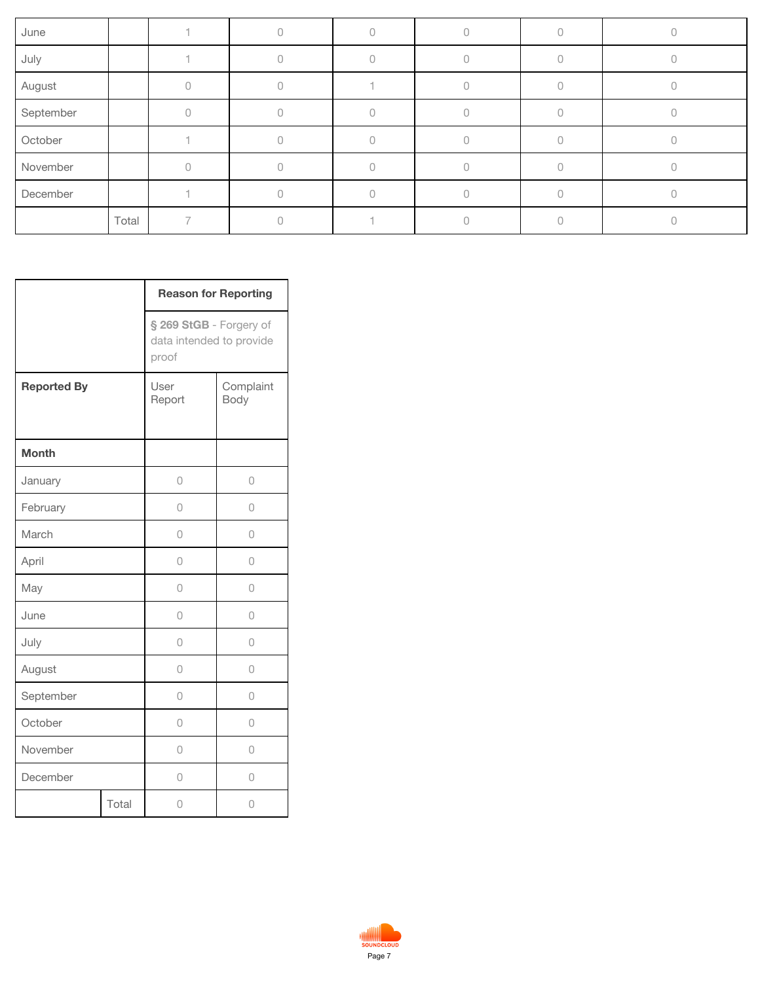| June      |       |  |  |  |
|-----------|-------|--|--|--|
| July      |       |  |  |  |
| August    |       |  |  |  |
| September |       |  |  |  |
| October   |       |  |  |  |
| November  |       |  |  |  |
| December  |       |  |  |  |
|           | Total |  |  |  |

|                    |       | <b>Reason for Reporting</b>                                  |                   |
|--------------------|-------|--------------------------------------------------------------|-------------------|
|                    |       | § 269 StGB - Forgery of<br>data intended to provide<br>proof |                   |
| <b>Reported By</b> |       | User<br>Report                                               | Complaint<br>Body |
| <b>Month</b>       |       |                                                              |                   |
| January            |       | $\cup$                                                       | 0                 |
| February           |       | 0                                                            | 0                 |
| March              |       | 0                                                            | 0                 |
| April              |       | 0                                                            | 0                 |
| May                |       | 0                                                            | 0                 |
| June               |       | 0                                                            | 0                 |
| July               |       | 0                                                            | 0                 |
| August             |       | 0                                                            | 0                 |
| September          |       | 0                                                            | 0                 |
| October            |       | 0                                                            | 0                 |
| November           |       | 0                                                            | 0                 |
| December           |       | 0                                                            | 0                 |
|                    | Total | 0                                                            | 0                 |

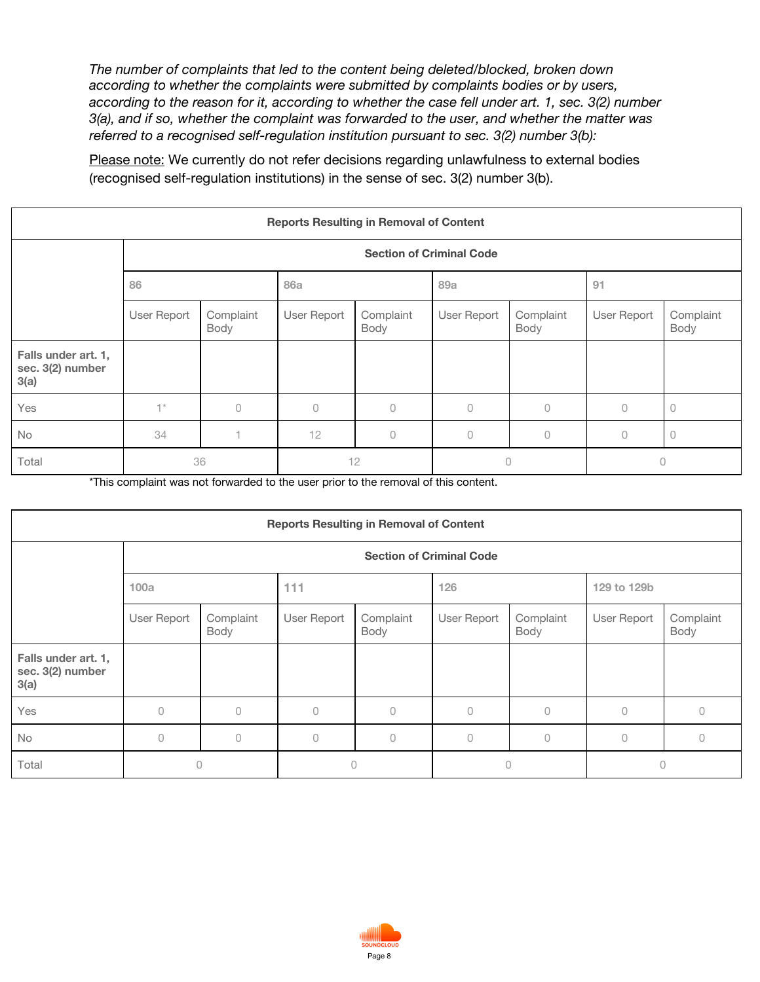*The number of complaints that led to the content being deleted/blocked, broken down according to whether the complaints were submitted by complaints bodies or by users, according to the reason for it, according to whether the case fell under art. 1, sec. 3(2) number 3(a), and if so, whether the complaint was forwarded to the user, and whether the matter was referred to a recognised self-regulation institution pursuant to sec. 3(2) number 3(b):*

Please note: We currently do not refer decisions regarding unlawfulness to external bodies (recognised self-regulation institutions) in the sense of sec. 3(2) number 3(b).

| <b>Reports Resulting in Removal of Content</b>  |             |                                 |             |                   |             |                   |             |                   |  |  |  |  |
|-------------------------------------------------|-------------|---------------------------------|-------------|-------------------|-------------|-------------------|-------------|-------------------|--|--|--|--|
|                                                 |             | <b>Section of Criminal Code</b> |             |                   |             |                   |             |                   |  |  |  |  |
|                                                 | 86          |                                 | <b>86a</b>  |                   | 89a         |                   | 91          |                   |  |  |  |  |
|                                                 | User Report | Complaint<br>Body               | User Report | Complaint<br>Body | User Report | Complaint<br>Body | User Report | Complaint<br>Body |  |  |  |  |
| Falls under art. 1,<br>sec. 3(2) number<br>3(a) |             |                                 |             |                   |             |                   |             |                   |  |  |  |  |
| Yes                                             | $+ \times$  | $\bigcap$                       | $\Omega$    | $\bigcap$         | $\bigcap$   | 0                 | n           | $\Omega$          |  |  |  |  |
| <b>No</b>                                       | 34          |                                 | 12          | $\Omega$          | 0           | 0                 | 0           | $\circ$           |  |  |  |  |
| Total                                           |             | 36                              | 12          |                   | 0           |                   | 0           |                   |  |  |  |  |

\*This complaint was not forwarded to the user prior to the removal of this content.

| <b>Reports Resulting in Removal of Content</b>  |             |                                 |             |                   |             |                   |             |                   |  |  |  |  |
|-------------------------------------------------|-------------|---------------------------------|-------------|-------------------|-------------|-------------------|-------------|-------------------|--|--|--|--|
|                                                 |             | <b>Section of Criminal Code</b> |             |                   |             |                   |             |                   |  |  |  |  |
|                                                 | 100a        |                                 | 111         |                   | 126         |                   | 129 to 129b |                   |  |  |  |  |
|                                                 | User Report | Complaint<br>Body               | User Report | Complaint<br>Body | User Report | Complaint<br>Body | User Report | Complaint<br>Body |  |  |  |  |
| Falls under art. 1,<br>sec. 3(2) number<br>3(a) |             |                                 |             |                   |             |                   |             |                   |  |  |  |  |
| Yes                                             | $\cup$      | 0                               | 0           | 0                 | $\Omega$    | $\cup$            | $\Omega$    | $\Omega$          |  |  |  |  |
| <b>No</b>                                       | $\circ$     | 0                               | 0           | $\Omega$          | $\bigcap$   | $\Omega$          | $\Omega$    | $\Omega$          |  |  |  |  |
| Total                                           | 0           |                                 | 0           |                   | $\Omega$    |                   | $\Omega$    |                   |  |  |  |  |

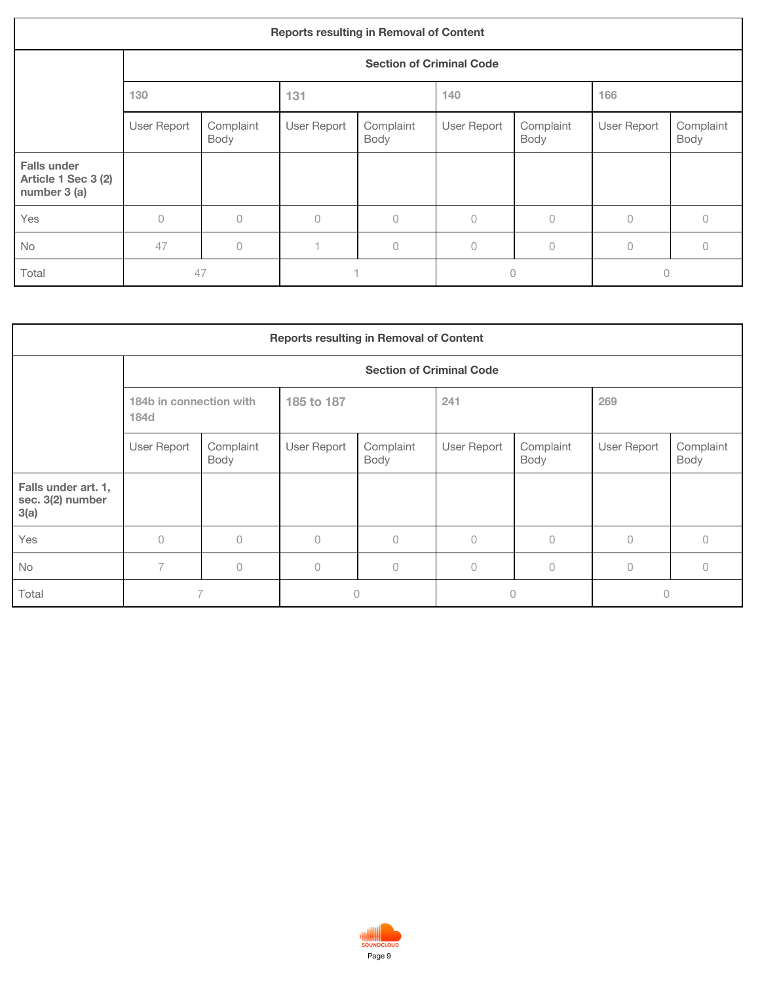| <b>Reports resulting in Removal of Content</b>            |             |                                 |             |                   |             |                   |             |                   |  |  |  |  |
|-----------------------------------------------------------|-------------|---------------------------------|-------------|-------------------|-------------|-------------------|-------------|-------------------|--|--|--|--|
|                                                           |             | <b>Section of Criminal Code</b> |             |                   |             |                   |             |                   |  |  |  |  |
|                                                           | 130         |                                 | 131         |                   | 140         |                   | 166         |                   |  |  |  |  |
|                                                           | User Report | Complaint<br>Body               | User Report | Complaint<br>Body | User Report | Complaint<br>Body | User Report | Complaint<br>Body |  |  |  |  |
| <b>Falls under</b><br>Article 1 Sec 3 (2)<br>number 3 (a) |             |                                 |             |                   |             |                   |             |                   |  |  |  |  |
| Yes                                                       | $\cup$      | $\bigcap$                       | $\bigcap$   | $\cup$            | $\cup$      | $\bigcap$         | $\bigcap$   | Ω                 |  |  |  |  |
| No                                                        | 47          | $\theta$                        |             | 0                 | $\circ$     | $\cup$            | $\Omega$    | 0                 |  |  |  |  |
| Total                                                     | 47          |                                 |             |                   | $\Omega$    |                   | 0           |                   |  |  |  |  |

| <b>Reports resulting in Removal of Content</b>  |                                 |                   |             |                   |             |                   |             |                   |  |  |
|-------------------------------------------------|---------------------------------|-------------------|-------------|-------------------|-------------|-------------------|-------------|-------------------|--|--|
|                                                 | <b>Section of Criminal Code</b> |                   |             |                   |             |                   |             |                   |  |  |
|                                                 | 184b in connection with<br>184d |                   | 185 to 187  |                   | 241         |                   | 269         |                   |  |  |
|                                                 | User Report                     | Complaint<br>Body | User Report | Complaint<br>Body | User Report | Complaint<br>Body | User Report | Complaint<br>Body |  |  |
| Falls under art. 1,<br>sec. 3(2) number<br>3(a) |                                 |                   |             |                   |             |                   |             |                   |  |  |
| Yes                                             | $\Omega$                        | $\Omega$          | $\Omega$    | $\Omega$          | $\Omega$    | $\Omega$          | $\Omega$    | 0                 |  |  |
| <b>No</b>                                       | 7                               | $\Omega$          | $\Omega$    | $\Omega$          | $\Omega$    | $\Omega$          | $\cup$      | Λ                 |  |  |
| Total                                           |                                 |                   | $\circ$     |                   | $\circ$     |                   | 0           |                   |  |  |

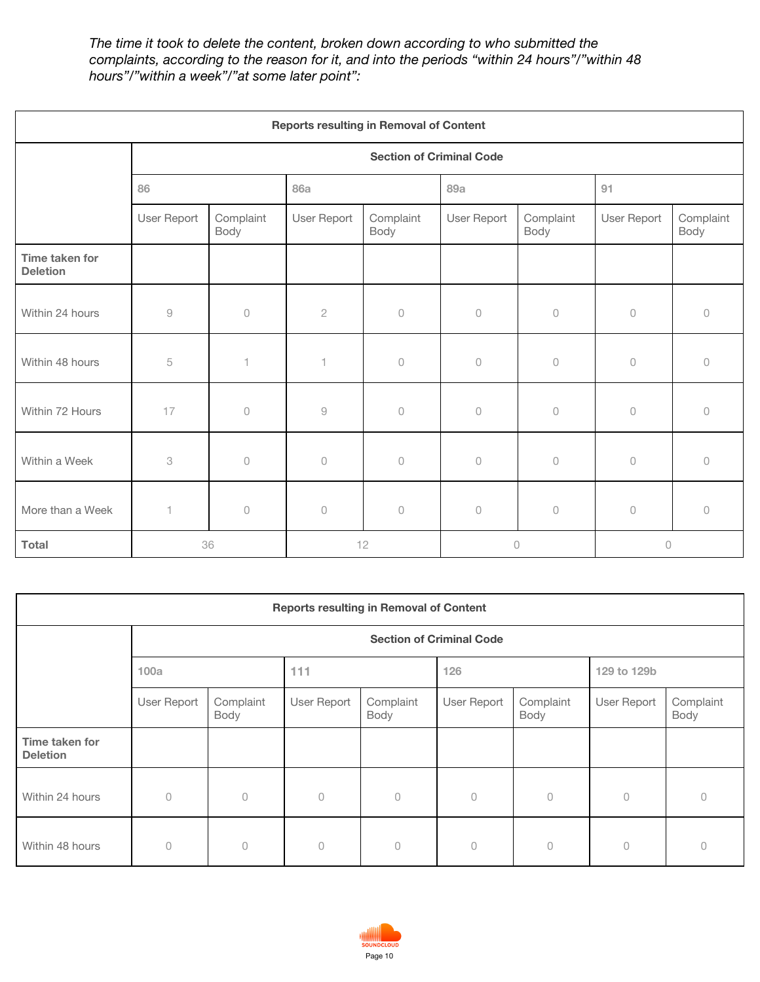*The time it took to delete the content, broken down according to who submitted the complaints, according to the reason for it, and into the periods "within 24 hours"/"within 48 hours"/"within a week"/"at some later point":*

| <b>Reports resulting in Removal of Content</b> |                                                           |                                 |                          |                   |             |                   |             |                   |  |  |
|------------------------------------------------|-----------------------------------------------------------|---------------------------------|--------------------------|-------------------|-------------|-------------------|-------------|-------------------|--|--|
|                                                |                                                           | <b>Section of Criminal Code</b> |                          |                   |             |                   |             |                   |  |  |
|                                                | 86                                                        |                                 | <b>86a</b>               |                   | 89a         |                   | 91          |                   |  |  |
|                                                | User Report                                               | Complaint<br>Body               | User Report              | Complaint<br>Body | User Report | Complaint<br>Body | User Report | Complaint<br>Body |  |  |
| Time taken for<br><b>Deletion</b>              |                                                           |                                 |                          |                   |             |                   |             |                   |  |  |
| Within 24 hours                                | $\mathcal{G}% _{M_{1},M_{2}}^{\alpha,\beta}(\mathcal{G})$ | $\mathbb O$                     | $\sqrt{2}$               | $\mathbb O$       | $\mathbb O$ | $\mathbb O$       | $\cup$      | $\theta$          |  |  |
| Within 48 hours                                | 5                                                         | $\overline{\phantom{a}}$        | $\overline{\phantom{a}}$ | $\circ$           | $\circ$     | $\circ$           | $\cup$      | $\Omega$          |  |  |
| Within 72 Hours                                | 17                                                        | $\circ$                         | $\hbox{9}$               | $\circ$           | 0           | $\cup$            | $\cup$      | $\bigcap$         |  |  |
| Within a Week                                  | 3                                                         | $\bigcirc$                      | $\mathcal O$             | $\mathcal O$      | $\bigcirc$  | $\bigcirc$        | $\cup$      | $\Omega$          |  |  |
| More than a Week                               | 1                                                         | $\mathbb O$                     | $\bigcirc$               | 0                 | $\bigcirc$  | $\bigcirc$        | $\circ$     | $\circ$           |  |  |
| <b>Total</b>                                   | 36                                                        |                                 |                          | 12                | $\cup$      |                   | 0           |                   |  |  |

| <b>Reports resulting in Removal of Content</b> |                                 |                   |                |                   |             |                   |             |                   |  |  |
|------------------------------------------------|---------------------------------|-------------------|----------------|-------------------|-------------|-------------------|-------------|-------------------|--|--|
|                                                | <b>Section of Criminal Code</b> |                   |                |                   |             |                   |             |                   |  |  |
|                                                | 100a                            |                   | 111            |                   | 126         |                   | 129 to 129b |                   |  |  |
|                                                | User Report                     | Complaint<br>Body | User Report    | Complaint<br>Body | User Report | Complaint<br>Body | User Report | Complaint<br>Body |  |  |
| Time taken for<br><b>Deletion</b>              |                                 |                   |                |                   |             |                   |             |                   |  |  |
| Within 24 hours                                | $\cup$                          | $\circ$           | $\sqrt{a}$     | 0                 | $\circ$     | $\mathbb O$       | $\cup$      | 0                 |  |  |
| Within 48 hours                                | $\cup$                          | 0                 | $\overline{0}$ | $\bigcap$         | $\bigcap$   | $\cup$            | $\sqrt{a}$  | 0                 |  |  |

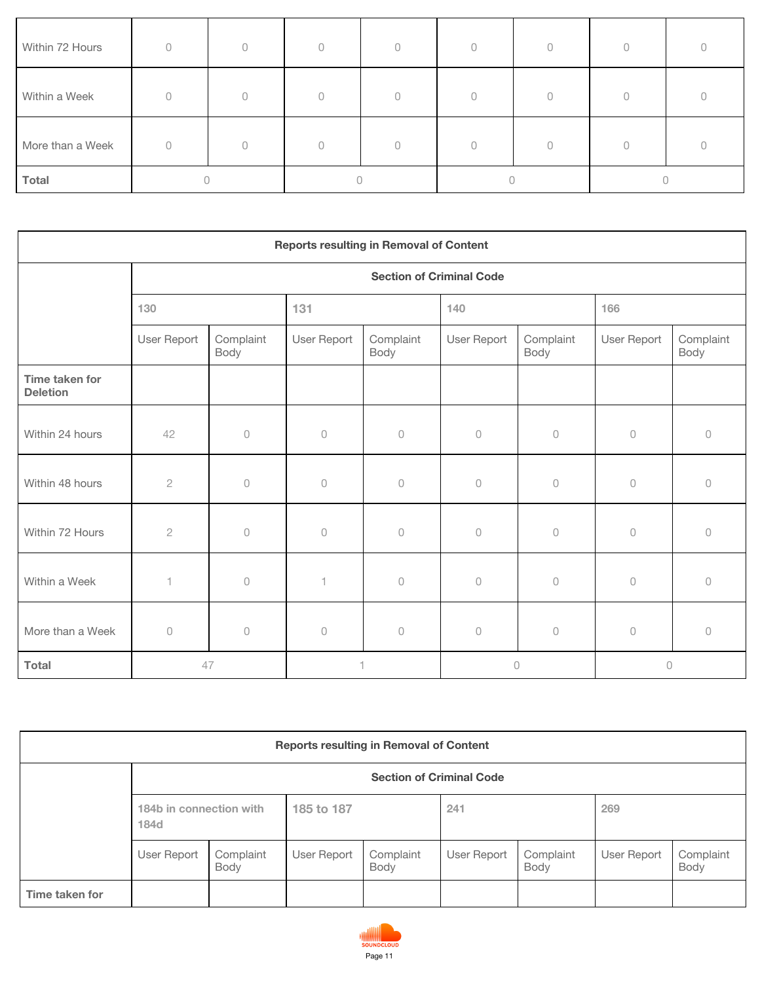| Within 72 Hours  | $\Omega$ | $\bigcap$ | $\bigcap$ |  |  |  |  |  |
|------------------|----------|-----------|-----------|--|--|--|--|--|
| Within a Week    | U        |           | $\cap$    |  |  |  |  |  |
| More than a Week |          | 0         |           |  |  |  |  |  |
| Total            |          |           |           |  |  |  |  |  |

| <b>Reports resulting in Removal of Content</b> |                                 |                     |              |                   |                     |                     |             |                   |  |  |
|------------------------------------------------|---------------------------------|---------------------|--------------|-------------------|---------------------|---------------------|-------------|-------------------|--|--|
|                                                | <b>Section of Criminal Code</b> |                     |              |                   |                     |                     |             |                   |  |  |
|                                                | 130                             |                     | 131          |                   | 140                 |                     | 166         |                   |  |  |
|                                                | User Report                     | Complaint<br>Body   | User Report  | Complaint<br>Body | User Report         | Complaint<br>Body   | User Report | Complaint<br>Body |  |  |
| Time taken for<br><b>Deletion</b>              |                                 |                     |              |                   |                     |                     |             |                   |  |  |
| Within 24 hours                                | 42                              | $\bigcirc$          | $\circ$      | $\cup$            | $\circ$             | $\circlearrowright$ | $\bigcirc$  | $\circ$           |  |  |
| Within 48 hours                                | $\overline{2}$                  | $\circ$             | $\cup$       | $\Omega$          | $\circ$             | $\circlearrowright$ | $\bigcirc$  | $\Omega$          |  |  |
| Within 72 Hours                                | $\mathbf{2}$                    | $\circ$             | $\Omega$     | $\Omega$          | $\cup$              | $\circlearrowright$ | $\bigcirc$  | $\cup$            |  |  |
| Within a Week                                  | $\overline{\phantom{a}}$        | $\bigcirc$          | $\mathbf{1}$ | $\cup$            | $\circlearrowright$ | $\circlearrowright$ | $\bigcirc$  | $\Omega$          |  |  |
| More than a Week                               | $\circ$                         | $\circlearrowright$ | $\circ$      | $\circ$           | $\circlearrowright$ | $\circlearrowright$ | $\circ$     | $\circ$           |  |  |
| <b>Total</b>                                   |                                 | 47                  |              |                   |                     | $\circ$             | 0           |                   |  |  |

| <b>Reports resulting in Removal of Content</b> |                                 |                   |             |                   |             |                   |             |                   |  |  |
|------------------------------------------------|---------------------------------|-------------------|-------------|-------------------|-------------|-------------------|-------------|-------------------|--|--|
|                                                | <b>Section of Criminal Code</b> |                   |             |                   |             |                   |             |                   |  |  |
|                                                | 184b in connection with<br>184d |                   | 185 to 187  |                   | 241         |                   | 269         |                   |  |  |
|                                                | User Report                     | Complaint<br>Body | User Report | Complaint<br>Body | User Report | Complaint<br>Body | User Report | Complaint<br>Body |  |  |
| Time taken for                                 |                                 |                   |             |                   |             |                   |             |                   |  |  |